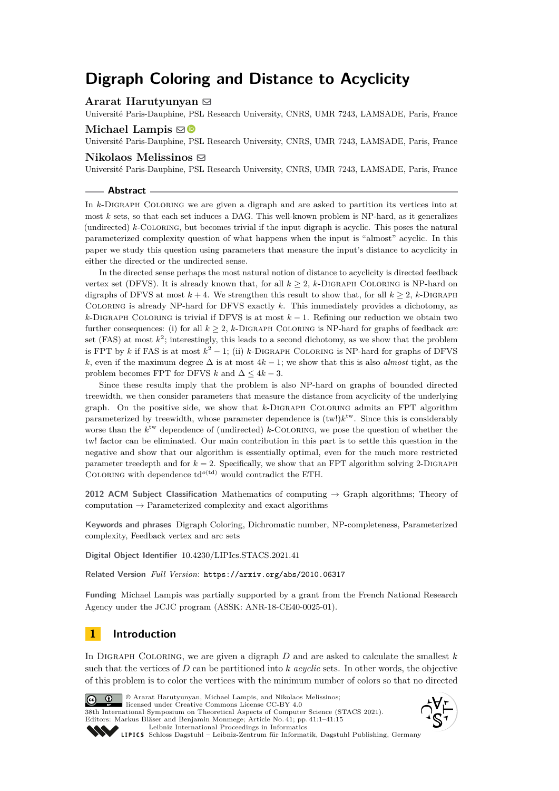# **Digraph Coloring and Distance to Acyclicity**

**Ararat Harutyunyan** [!](mailto:ararat.harutyunyan@dauphine.fr)

Université Paris-Dauphine, PSL Research University, CNRS, UMR 7243, LAMSADE, Paris, France

## **Michael Lampis**  $\boxtimes$

Université Paris-Dauphine, PSL Research University, CNRS, UMR 7243, LAMSADE, Paris, France

## **Nikolaos Melissinos** [!](mailto:nikolaos.melissinos@dauphine.eu)

Université Paris-Dauphine, PSL Research University, CNRS, UMR 7243, LAMSADE, Paris, France

#### **Abstract**

In *k*-Digraph Coloring we are given a digraph and are asked to partition its vertices into at most *k* sets, so that each set induces a DAG. This well-known problem is NP-hard, as it generalizes (undirected) *k*-Coloring, but becomes trivial if the input digraph is acyclic. This poses the natural parameterized complexity question of what happens when the input is "almost" acyclic. In this paper we study this question using parameters that measure the input's distance to acyclicity in either the directed or the undirected sense.

In the directed sense perhaps the most natural notion of distance to acyclicity is directed feedback vertex set (DFVS). It is already known that, for all  $k > 2$ ,  $k$ -DIGRAPH COLORING is NP-hard on digraphs of DFVS at most  $k + 4$ . We strengthen this result to show that, for all  $k \geq 2$ , *k*-DIGRAPH Coloring is already NP-hard for DFVS exactly *k*. This immediately provides a dichotomy, as *k*-DIGRAPH COLORING is trivial if DFVS is at most *k* − 1. Refining our reduction we obtain two further consequences: (i) for all  $k \geq 2$ , *k*-DIGRAPH COLORING is NP-hard for graphs of feedback *arc* set (FAS) at most  $k^2$ ; interestingly, this leads to a second dichotomy, as we show that the problem is FPT by *k* if FAS is at most  $k^2 - 1$ ; (ii) *k*-DIGRAPH COLORING is NP-hard for graphs of DFVS *k*, even if the maximum degree  $\Delta$  is at most  $4k - 1$ ; we show that this is also *almost* tight, as the problem becomes FPT for DFVS *k* and  $\Delta \leq 4k - 3$ .

Since these results imply that the problem is also NP-hard on graphs of bounded directed treewidth, we then consider parameters that measure the distance from acyclicity of the underlying graph. On the positive side, we show that *k*-Digraph Coloring admits an FPT algorithm parameterized by treewidth, whose parameter dependence is  $(tw!)k^{tw}$ . Since this is considerably worse than the  $k^{\text{tw}}$  dependence of (undirected)  $k$ -COLORING, we pose the question of whether the tw! factor can be eliminated. Our main contribution in this part is to settle this question in the negative and show that our algorithm is essentially optimal, even for the much more restricted parameter treedepth and for  $k = 2$ . Specifically, we show that an FPT algorithm solving 2-DIGRAPH COLORING with dependence  $td^{o(td)}$  would contradict the ETH.

**2012 ACM Subject Classification** Mathematics of computing → Graph algorithms; Theory of computation  $\rightarrow$  Parameterized complexity and exact algorithms

**Keywords and phrases** Digraph Coloring, Dichromatic number, NP-completeness, Parameterized complexity, Feedback vertex and arc sets

**Digital Object Identifier** [10.4230/LIPIcs.STACS.2021.41](https://doi.org/10.4230/LIPIcs.STACS.2021.41)

**Related Version** *Full Version*: <https://arxiv.org/abs/2010.06317>

**Funding** Michael Lampis was partially supported by a grant from the French National Research Agency under the JCJC program (ASSK: ANR-18-CE40-0025-01).

# **1 Introduction**

In Digraph Coloring, we are given a digraph *D* and are asked to calculate the smallest *k* such that the vertices of *D* can be partitioned into *k acyclic* sets. In other words, the objective of this problem is to color the vertices with the minimum number of colors so that no directed



licensed under Creative Commons License CC-BY 4.0 38th International Symposium on Theoretical Aspects of Computer Science (STACS 2021). Editors: Markus Bläser and Benjamin Monmege; Article No. 41; pp. 41:1–41:15 [Leibniz International Proceedings in Informatics](https://www.dagstuhl.de/lipics/)

© Ararat Harutyunyan, Michael Lampis, and Nikolaos Melissinos;



[Schloss Dagstuhl – Leibniz-Zentrum für Informatik, Dagstuhl Publishing, Germany](https://www.dagstuhl.de)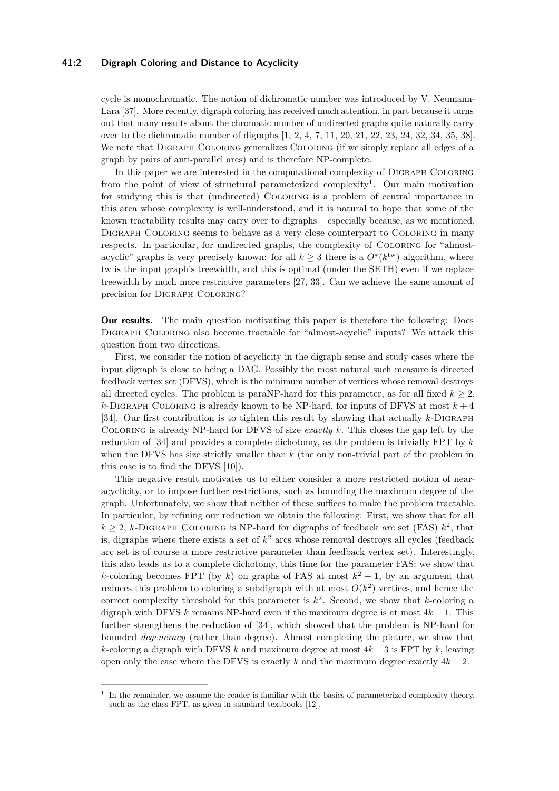## **41:2 Digraph Coloring and Distance to Acyclicity**

cycle is monochromatic. The notion of dichromatic number was introduced by V. Neumann-Lara [\[37\]](#page-14-0). More recently, digraph coloring has received much attention, in part because it turns out that many results about the chromatic number of undirected graphs quite naturally carry over to the dichromatic number of digraphs [\[1,](#page-13-0) [2,](#page-13-1) [4,](#page-13-2) [7,](#page-13-3) [11,](#page-13-4) [20,](#page-14-1) [21,](#page-14-2) [22,](#page-14-3) [23,](#page-14-4) [24,](#page-14-5) [32,](#page-14-6) [34,](#page-14-7) [35,](#page-14-8) [38\]](#page-14-9). We note that DIGRAPH COLORING generalizes COLORING (if we simply replace all edges of a graph by pairs of anti-parallel arcs) and is therefore NP-complete.

In this paper we are interested in the computational complexity of Digraph Coloring from the point of view of structural parameterized complexity<sup>[1](#page-1-0)</sup>. Our main motivation for studying this is that (undirected) Coloring is a problem of central importance in this area whose complexity is well-understood, and it is natural to hope that some of the known tractability results may carry over to digraphs – especially because, as we mentioned, Digraph Coloring seems to behave as a very close counterpart to Coloring in many respects. In particular, for undirected graphs, the complexity of Coloring for "almostacyclic" graphs is very precisely known: for all  $k \geq 3$  there is a  $O^*(k^{tw})$  algorithm, where tw is the input graph's treewidth, and this is optimal (under the SETH) even if we replace treewidth by much more restrictive parameters [\[27,](#page-14-10) [33\]](#page-14-11). Can we achieve the same amount of precision for Digraph Coloring?

**Our results.** The main question motivating this paper is therefore the following: Does Digraph Coloring also become tractable for "almost-acyclic" inputs? We attack this question from two directions.

First, we consider the notion of acyclicity in the digraph sense and study cases where the input digraph is close to being a DAG. Possibly the most natural such measure is directed feedback vertex set (DFVS), which is the minimum number of vertices whose removal destroys all directed cycles. The problem is paraNP-hard for this parameter, as for all fixed  $k \geq 2$ ,  $k$ -DIGRAPH COLORING is already known to be NP-hard, for inputs of DFVS at most  $k + 4$ [\[34\]](#page-14-7). Our first contribution is to tighten this result by showing that actually *k*-Digraph Coloring is already NP-hard for DFVS of size *exactly k*. This closes the gap left by the reduction of [\[34\]](#page-14-7) and provides a complete dichotomy, as the problem is trivially FPT by *k* when the DFVS has size strictly smaller than *k* (the only non-trivial part of the problem in this case is to find the DFVS [\[10\]](#page-13-5)).

This negative result motivates us to either consider a more restricted notion of nearacyclicity, or to impose further restrictions, such as bounding the maximum degree of the graph. Unfortunately, we show that neither of these suffices to make the problem tractable. In particular, by refining our reduction we obtain the following: First, we show that for all  $k \geq 2$ , *k*-DIGRAPH COLORING is NP-hard for digraphs of feedback *arc* set (FAS)  $k^2$ , that is, digraphs where there exists a set of  $k^2$  arcs whose removal destroys all cycles (feedback arc set is of course a more restrictive parameter than feedback vertex set). Interestingly, this also leads us to a complete dichotomy, this time for the parameter FAS: we show that *k*-coloring becomes FPT (by *k*) on graphs of FAS at most  $k^2 - 1$ , by an argument that reduces this problem to coloring a subdigraph with at most  $O(k^2)$  vertices, and hence the correct complexity threshold for this parameter is  $k^2$ . Second, we show that *k*-coloring a digraph with DFVS  $k$  remains NP-hard even if the maximum degree is at most  $4k - 1$ . This further strengthens the reduction of [\[34\]](#page-14-7), which showed that the problem is NP-hard for bounded *degeneracy* (rather than degree). Almost completing the picture, we show that *k*-coloring a digraph with DFVS *k* and maximum degree at most 4*k* − 3 is FPT by *k*, leaving open only the case where the DFVS is exactly  $k$  and the maximum degree exactly  $4k - 2$ .

<span id="page-1-0"></span><sup>1</sup> In the remainder, we assume the reader is familiar with the basics of parameterized complexity theory, such as the class FPT, as given in standard textbooks [\[12\]](#page-13-6).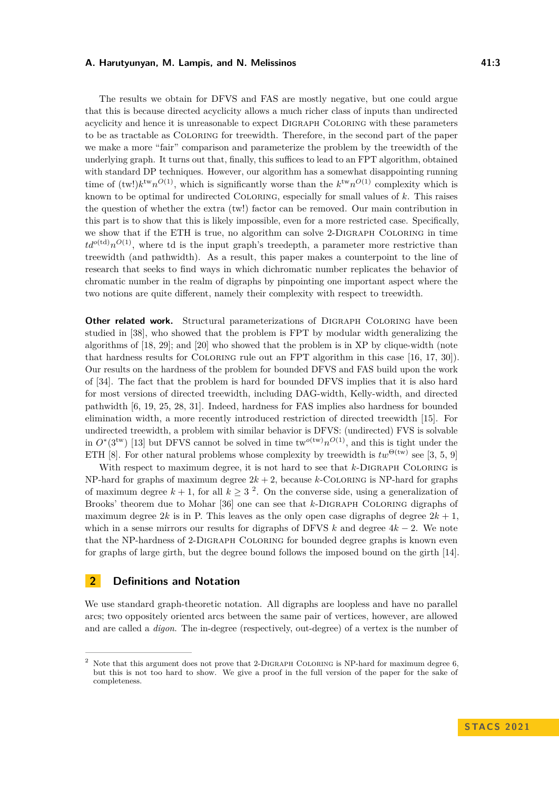The results we obtain for DFVS and FAS are mostly negative, but one could argue that this is because directed acyclicity allows a much richer class of inputs than undirected acyclicity and hence it is unreasonable to expect Digraph Coloring with these parameters to be as tractable as Coloring for treewidth. Therefore, in the second part of the paper we make a more "fair" comparison and parameterize the problem by the treewidth of the underlying graph. It turns out that, finally, this suffices to lead to an FPT algorithm, obtained with standard DP techniques. However, our algorithm has a somewhat disappointing running time of  $(tw!)k^{tw}n^{O(1)}$ , which is significantly worse than the  $k^{tw}n^{O(1)}$  complexity which is known to be optimal for undirected Coloring, especially for small values of *k*. This raises the question of whether the extra (tw!) factor can be removed. Our main contribution in this part is to show that this is likely impossible, even for a more restricted case. Specifically, we show that if the ETH is true, no algorithm can solve 2-Digraph Coloring in time  $td^{o(\text{td})}n^{O(1)}$ , where td is the input graph's treedepth, a parameter more restrictive than treewidth (and pathwidth). As a result, this paper makes a counterpoint to the line of research that seeks to find ways in which dichromatic number replicates the behavior of chromatic number in the realm of digraphs by pinpointing one important aspect where the two notions are quite different, namely their complexity with respect to treewidth.

**Other related work.** Structural parameterizations of DIGRAPH COLORING have been studied in [\[38\]](#page-14-9), who showed that the problem is FPT by modular width generalizing the algorithms of  $[18, 29]$  $[18, 29]$  $[18, 29]$ ; and  $[20]$  who showed that the problem is in XP by clique-width (note that hardness results for Coloring rule out an FPT algorithm in this case [\[16,](#page-13-7) [17,](#page-13-8) [30\]](#page-14-14)). Our results on the hardness of the problem for bounded DFVS and FAS build upon the work of [\[34\]](#page-14-7). The fact that the problem is hard for bounded DFVS implies that it is also hard for most versions of directed treewidth, including DAG-width, Kelly-width, and directed pathwidth [\[6,](#page-13-9) [19,](#page-14-15) [25,](#page-14-16) [28,](#page-14-17) [31\]](#page-14-18). Indeed, hardness for FAS implies also hardness for bounded elimination width, a more recently introduced restriction of directed treewidth [\[15\]](#page-13-10). For undirected treewidth, a problem with similar behavior is DFVS: (undirected) FVS is solvable in  $O^*(3^{tw})$  [\[13\]](#page-13-11) but DFVS cannot be solved in time  $\text{tw}^{o(tw)} n^{O(1)}$ , and this is tight under the ETH [\[8\]](#page-13-12). For other natural problems whose complexity by treewidth is  $tw^{\Theta({\rm tw})}$  see [\[3,](#page-13-13) [5,](#page-13-14) [9\]](#page-13-15)

With respect to maximum degree, it is not hard to see that *k*-DIGRAPH COLORING is NP-hard for graphs of maximum degree  $2k + 2$ , because *k*-COLORING is NP-hard for graphs of maximum degree  $k + 1$ , for all  $k \geq 3^2$  $k \geq 3^2$ . On the converse side, using a generalization of Brooks' theorem due to Mohar [\[36\]](#page-14-19) one can see that *k*-DIGRAPH COLORING digraphs of maximum degree  $2k$  is in P. This leaves as the only open case digraphs of degree  $2k + 1$ . which in a sense mirrors our results for digraphs of DFVS  $k$  and degree  $4k - 2$ . We note that the NP-hardness of 2-Digraph Coloring for bounded degree graphs is known even for graphs of large girth, but the degree bound follows the imposed bound on the girth [\[14\]](#page-13-16).

# **2 Definitions and Notation**

We use standard graph-theoretic notation. All digraphs are loopless and have no parallel arcs; two oppositely oriented arcs between the same pair of vertices, however, are allowed and are called a *digon*. The in-degree (respectively, out-degree) of a vertex is the number of

<span id="page-2-0"></span>Note that this argument does not prove that 2-DIGRAPH COLORING is NP-hard for maximum degree 6, but this is not too hard to show. We give a proof in the full version of the paper for the sake of completeness.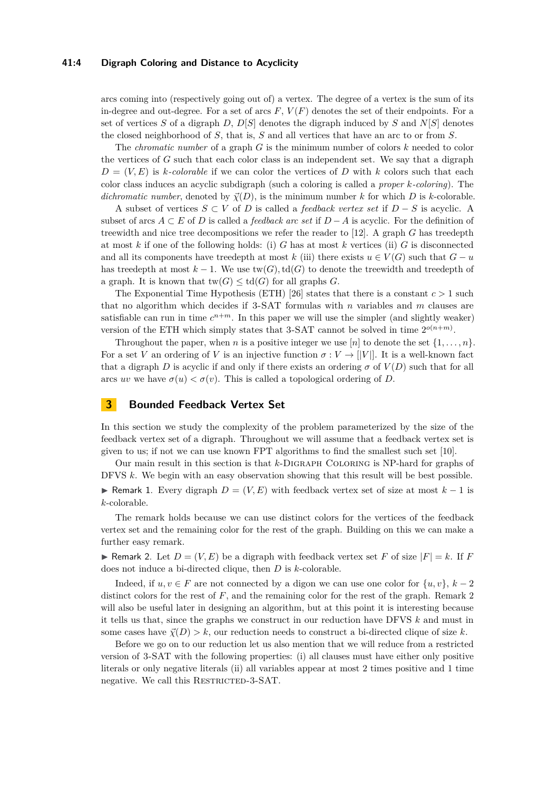## **41:4 Digraph Coloring and Distance to Acyclicity**

arcs coming into (respectively going out of) a vertex. The degree of a vertex is the sum of its in-degree and out-degree. For a set of arcs  $F, V(F)$  denotes the set of their endpoints. For a set of vertices *S* of a digraph *D*, *D*[*S*] denotes the digraph induced by *S* and *N*[*S*] denotes the closed neighborhood of *S*, that is, *S* and all vertices that have an arc to or from *S*.

The *chromatic number* of a graph *G* is the minimum number of colors *k* needed to color the vertices of *G* such that each color class is an independent set. We say that a digraph  $D = (V, E)$  is *k*-colorable if we can color the vertices of *D* with *k* colors such that each color class induces an acyclic subdigraph (such a coloring is called a *proper k-coloring*). The *dichromatic number*, denoted by  $\vec{\chi}(D)$ , is the minimum number k for which D is k-colorable.

A subset of vertices *S* ⊂ *V* of *D* is called a *feedback vertex set* if *D* − *S* is acyclic. A subset of arcs  $A \subset E$  of *D* is called a *feedback arc set* if  $D - A$  is acyclic. For the definition of treewidth and nice tree decompositions we refer the reader to [\[12\]](#page-13-6). A graph *G* has treedepth at most *k* if one of the following holds: (i) *G* has at most *k* vertices (ii) *G* is disconnected and all its components have treedepth at most  $k$  (iii) there exists  $u \in V(G)$  such that  $G - u$ has treedepth at most  $k-1$ . We use  $\text{tw}(G), \text{td}(G)$  to denote the treewidth and treedepth of a graph. It is known that  $\text{tw}(G) \leq \text{td}(G)$  for all graphs *G*.

The Exponential Time Hypothesis (ETH) [\[26\]](#page-14-20) states that there is a constant  $c > 1$  such that no algorithm which decides if 3-SAT formulas with *n* variables and *m* clauses are satisfiable can run in time  $c^{n+m}$ . In this paper we will use the simpler (and slightly weaker) version of the ETH which simply states that 3-SAT cannot be solved in time  $2^{o(n+m)}$ .

Throughout the paper, when *n* is a positive integer we use [*n*] to denote the set  $\{1, \ldots, n\}$ . For a set *V* an ordering of *V* is an injective function  $\sigma: V \to ||V||$ . It is a well-known fact that a digraph *D* is acyclic if and only if there exists an ordering  $\sigma$  of  $V(D)$  such that for all arcs *uv* we have  $\sigma(u) < \sigma(v)$ . This is called a topological ordering of *D*.

## **3 Bounded Feedback Vertex Set**

In this section we study the complexity of the problem parameterized by the size of the feedback vertex set of a digraph. Throughout we will assume that a feedback vertex set is given to us; if not we can use known FPT algorithms to find the smallest such set [\[10\]](#page-13-5).

Our main result in this section is that *k*-Digraph Coloring is NP-hard for graphs of DFVS *k*. We begin with an easy observation showing that this result will be best possible. **► Remark 1.** Every digraph  $D = (V, E)$  with feedback vertex set of size at most  $k - 1$  is *k*-colorable.

The remark holds because we can use distinct colors for the vertices of the feedback vertex set and the remaining color for the rest of the graph. Building on this we can make a further easy remark.

<span id="page-3-0"></span>**• Remark** 2. Let  $D = (V, E)$  be a digraph with feedback vertex set F of size  $|F| = k$ . If F does not induce a bi-directed clique, then *D* is *k*-colorable.

Indeed, if  $u, v \in F$  are not connected by a digon we can use one color for  $\{u, v\}, k - 2$ distinct colors for the rest of *F*, and the remaining color for the rest of the graph. Remark [2](#page-3-0) will also be useful later in designing an algorithm, but at this point it is interesting because it tells us that, since the graphs we construct in our reduction have DFVS *k* and must in some cases have  $\vec{\chi}(D) > k$ , our reduction needs to construct a bi-directed clique of size k.

<span id="page-3-1"></span>Before we go on to our reduction let us also mention that we will reduce from a restricted version of 3-SAT with the following properties: (i) all clauses must have either only positive literals or only negative literals (ii) all variables appear at most 2 times positive and 1 time negative. We call this RESTRICTED-3-SAT.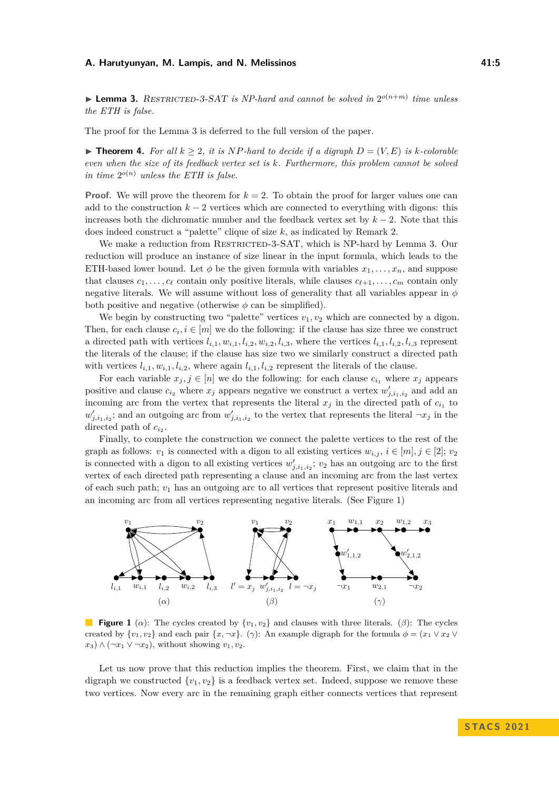$\blacktriangleright$  **Lemma 3.** RESTRICTED-3-SAT is NP-hard and cannot be solved in  $2^{o(n+m)}$  time unless *the ETH is false.*

<span id="page-4-1"></span>The proof for the Lemma [3](#page-3-1) is deferred to the full version of the paper.

▶ **Theorem 4.** For all  $k \geq 2$ , it is NP-hard to decide if a digraph  $D = (V, E)$  is  $k$ -colorable *even when the size of its feedback vertex set is k. Furthermore, this problem cannot be solved in time*  $2^{o(n)}$  *unless the ETH is false.* 

**Proof.** We will prove the theorem for  $k = 2$ . To obtain the proof for larger values one can add to the construction  $k-2$  vertices which are connected to everything with digons: this increases both the dichromatic number and the feedback vertex set by *k* − 2. Note that this does indeed construct a "palette" clique of size *k*, as indicated by Remark [2.](#page-3-0)

We make a reduction from RESTRICTED-3-SAT, which is NP-hard by Lemma [3.](#page-3-1) Our reduction will produce an instance of size linear in the input formula, which leads to the ETH-based lower bound. Let  $\phi$  be the given formula with variables  $x_1, \ldots, x_n$ , and suppose that clauses  $c_1, \ldots, c_\ell$  contain only positive literals, while clauses  $c_{\ell+1}, \ldots, c_m$  contain only negative literals. We will assume without loss of generality that all variables appear in *ϕ* both positive and negative (otherwise  $\phi$  can be simplified).

We begin by constructing two "palette" vertices  $v_1, v_2$  which are connected by a digon. Then, for each clause  $c_i, i \in [m]$  we do the following: if the clause has size three we construct a directed path with vertices  $l_{i,1}, w_{i,1}, l_{i,2}, w_{i,2}, l_{i,3}$ , where the vertices  $l_{i,1}, l_{i,2}, l_{i,3}$  represent the literals of the clause; if the clause has size two we similarly construct a directed path with vertices  $l_{i,1}, w_{i,1}, l_{i,2}$ , where again  $l_{i,1}, l_{i,2}$  represent the literals of the clause.

For each variable  $x_j, j \in [n]$  we do the following: for each clause  $c_{i_1}$  where  $x_j$  appears positive and clause  $c_{i_2}$  where  $x_j$  appears negative we construct a vertex  $w'_{j,i_1,i_2}$  and add an incoming arc from the vertex that represents the literal  $x_j$  in the directed path of  $c_{i_1}$  to  $w'_{j,i_1,i_2}$ ; and an outgoing arc from  $w'_{j,i_1,i_2}$  to the vertex that represents the literal  $\neg x_j$  in the directed path of  $c_{i_2}$ .

Finally, to complete the construction we connect the palette vertices to the rest of the graph as follows:  $v_1$  is connected with a digon to all existing vertices  $w_{i,j}$ ,  $i \in [m], j \in [2]$ ;  $v_2$ is connected with a digon to all existing vertices  $w'_{j,i_1,i_2}$ ;  $v_2$  has an outgoing arc to the first vertex of each directed path representing a clause and an incoming arc from the last vertex of each such path; *v*<sup>1</sup> has an outgoing arc to all vertices that represent positive literals and an incoming arc from all vertices representing negative literals. (See Figure [1\)](#page-4-0)

<span id="page-4-0"></span>

**Figure 1** (*α*): The cycles created by {*v*1*, v*2} and clauses with three literals. (*β*): The cycles created by  $\{v_1, v_2\}$  and each pair  $\{x, \neg x\}$ . ( $\gamma$ ): An example digraph for the formula  $\phi = (x_1 \lor x_2 \lor x_3)$  $x_3$ )  $\wedge$  ( $\neg x_1 \vee \neg x_2$ ), without showing  $v_1, v_2$ .

Let us now prove that this reduction implies the theorem. First, we claim that in the digraph we constructed  $\{v_1, v_2\}$  is a feedback vertex set. Indeed, suppose we remove these two vertices. Now every arc in the remaining graph either connects vertices that represent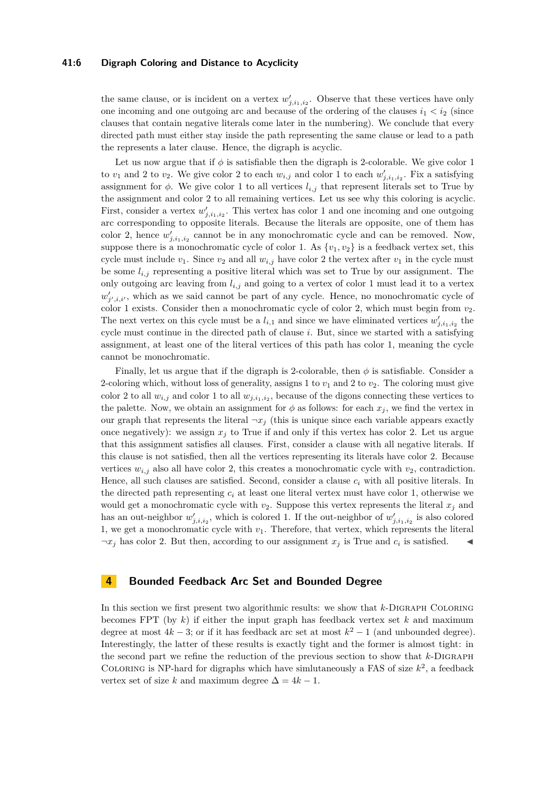## **41:6 Digraph Coloring and Distance to Acyclicity**

the same clause, or is incident on a vertex  $w'_{j,i_1,i_2}$ . Observe that these vertices have only one incoming and one outgoing arc and because of the ordering of the clauses  $i_1 < i_2$  (since clauses that contain negative literals come later in the numbering). We conclude that every directed path must either stay inside the path representing the same clause or lead to a path the represents a later clause. Hence, the digraph is acyclic.

Let us now argue that if  $\phi$  is satisfiable then the digraph is 2-colorable. We give color 1 to  $v_1$  and 2 to  $v_2$ . We give color 2 to each  $w_{i,j}$  and color 1 to each  $w'_{j,i_1,i_2}$ . Fix a satisfying assignment for  $\phi$ . We give color 1 to all vertices  $l_{i,j}$  that represent literals set to True by the assignment and color 2 to all remaining vertices. Let us see why this coloring is acyclic. First, consider a vertex  $w'_{j,i_1,i_2}$ . This vertex has color 1 and one incoming and one outgoing arc corresponding to opposite literals. Because the literals are opposite, one of them has color 2, hence  $w'_{j,i_1,i_2}$  cannot be in any monochromatic cycle and can be removed. Now, suppose there is a monochromatic cycle of color 1. As  $\{v_1, v_2\}$  is a feedback vertex set, this cycle must include  $v_1$ . Since  $v_2$  and all  $w_i$ , have color 2 the vertex after  $v_1$  in the cycle must be some  $l_{i,j}$  representing a positive literal which was set to True by our assignment. The only outgoing arc leaving from *li,j* and going to a vertex of color 1 must lead it to a vertex  $w'_{j',i,i'}$ , which as we said cannot be part of any cycle. Hence, no monochromatic cycle of color 1 exists. Consider then a monochromatic cycle of color 2, which must begin from  $v_2$ . The next vertex on this cycle must be a  $l_{i,1}$  and since we have eliminated vertices  $w'_{j,i_1,i_2}$  the cycle must continue in the directed path of clause *i*. But, since we started with a satisfying assignment, at least one of the literal vertices of this path has color 1, meaning the cycle cannot be monochromatic.

Finally, let us argue that if the digraph is 2-colorable, then  $\phi$  is satisfiable. Consider a 2-coloring which, without loss of generality, assigns 1 to  $v_1$  and 2 to  $v_2$ . The coloring must give color 2 to all  $w_{i,j}$  and color 1 to all  $w_{j,i_1,i_2}$ , because of the digons connecting these vertices to the palette. Now, we obtain an assignment for  $\phi$  as follows: for each  $x_j$ , we find the vertex in our graph that represents the literal  $\neg x_j$  (this is unique since each variable appears exactly once negatively): we assign  $x_j$  to True if and only if this vertex has color 2. Let us argue that this assignment satisfies all clauses. First, consider a clause with all negative literals. If this clause is not satisfied, then all the vertices representing its literals have color 2. Because vertices  $w_{i,j}$  also all have color 2, this creates a monochromatic cycle with  $v_2$ , contradiction. Hence, all such clauses are satisfied. Second, consider a clause *c<sup>i</sup>* with all positive literals. In the directed path representing  $c_i$  at least one literal vertex must have color 1, otherwise we would get a monochromatic cycle with  $v_2$ . Suppose this vertex represents the literal  $x_j$  and has an out-neighbor  $w'_{j,i,i_2}$ , which is colored 1. If the out-neighbor of  $w'_{j,i_1,i_2}$  is also colored 1, we get a monochromatic cycle with  $v_1$ . Therefore, that vertex, which represents the literal  $\neg x_j$  has color 2. But then, according to our assignment  $x_j$  is True and  $c_i$  is satisfied.  $\blacktriangleleft$ 

## **4 Bounded Feedback Arc Set and Bounded Degree**

In this section we first present two algorithmic results: we show that *k*-Digraph Coloring becomes FPT (by *k*) if either the input graph has feedback vertex set *k* and maximum degree at most  $4k-3$ ; or if it has feedback arc set at most  $k^2-1$  (and unbounded degree). Interestingly, the latter of these results is exactly tight and the former is almost tight: in the second part we refine the reduction of the previous section to show that *k*-Digraph COLORING is NP-hard for digraphs which have simlutaneously a FAS of size  $k^2$ , a feedback vertex set of size *k* and maximum degree  $\Delta = 4k - 1$ .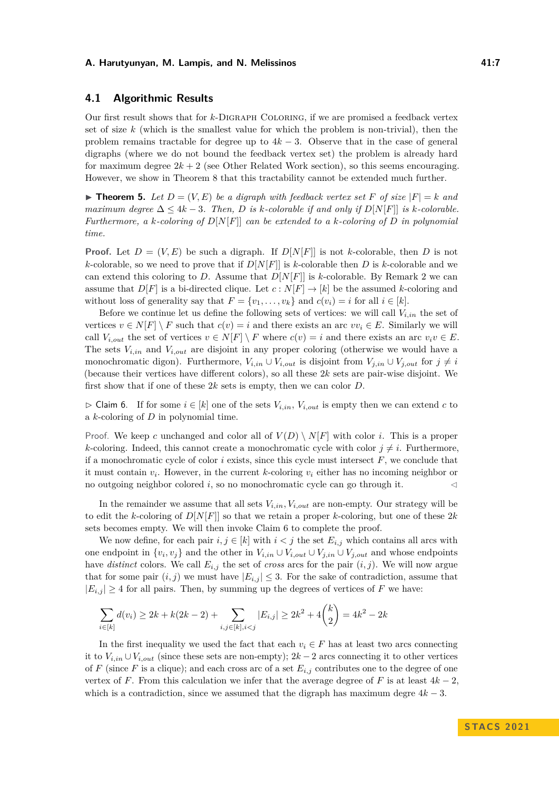## **4.1 Algorithmic Results**

Our first result shows that for *k*-Digraph Coloring, if we are promised a feedback vertex set of size *k* (which is the smallest value for which the problem is non-trivial), then the problem remains tractable for degree up to  $4k-3$ . Observe that in the case of general digraphs (where we do not bound the feedback vertex set) the problem is already hard for maximum degree  $2k + 2$  (see Other Related Work section), so this seems encouraging. However, we show in Theorem [8](#page-8-0) that this tractability cannot be extended much further.

<span id="page-6-1"></span> $\blacktriangleright$  **Theorem 5.** Let  $D = (V, E)$  be a digraph with feedback vertex set F of size  $|F| = k$  and *maximum degree*  $\Delta \leq 4k - 3$ *. Then, D is k-colorable if and only if*  $D[N[F]]$  *is k-colorable. Furthermore, a k-coloring of D*[*N*[*F*]] *can be extended to a k-coloring of D in polynomial time.*

**Proof.** Let  $D = (V, E)$  be such a digraph. If  $D[N[F]]$  is not *k*-colorable, then *D* is not *k*-colorable, so we need to prove that if  $D[N[F]]$  is *k*-colorable then *D* is *k*-colorable and we can extend this coloring to *D*. Assume that  $D[N[F]]$  is *k*-colorable. By Remark [2](#page-3-0) we can assume that  $D[F]$  is a bi-directed clique. Let  $c: N[F] \to [k]$  be the assumed *k*-coloring and without loss of generality say that  $F = \{v_1, \ldots, v_k\}$  and  $c(v_i) = i$  for all  $i \in [k]$ .

Before we continue let us define the following sets of vertices: we will call  $V_{i,in}$  the set of vertices  $v \in N[F] \setminus F$  such that  $c(v) = i$  and there exists an arc  $vv_i \in E$ . Similarly we will call  $V_{i,out}$  the set of vertices  $v \in N[F] \setminus F$  where  $c(v) = i$  and there exists an arc  $v_i v \in E$ . The sets  $V_{i,in}$  and  $V_{i,out}$  are disjoint in any proper coloring (otherwise we would have a monochromatic digon). Furthermore,  $V_{i,in} \cup V_{i,out}$  is disjoint from  $V_{j,in} \cup V_{j,out}$  for  $j \neq i$ (because their vertices have different colors), so all these 2*k* sets are pair-wise disjoint. We first show that if one of these 2*k* sets is empty, then we can color *D*.

<span id="page-6-0"></span> $\triangleright$  Claim 6. If for some  $i \in [k]$  one of the sets  $V_{i,in}$ ,  $V_{i,out}$  is empty then we can extend *c* to a *k*-coloring of *D* in polynomial time.

Proof. We keep *c* unchanged and color all of  $V(D) \setminus N[F]$  with color *i*. This is a proper *k*-coloring. Indeed, this cannot create a monochromatic cycle with color  $j \neq i$ . Furthermore, if a monochromatic cycle of color  $i$  exists, since this cycle must intersect  $F$ , we conclude that it must contain *v<sup>i</sup>* . However, in the current *k*-coloring *v<sup>i</sup>* either has no incoming neighbor or no outgoing neighbor colored *i*, so no monochromatic cycle can go through it.  $\triangleleft$ 

In the remainder we assume that all sets  $V_{i,in}$ ,  $V_{i,out}$  are non-empty. Our strategy will be to edit the *k*-coloring of *D*[*N*[*F*]] so that we retain a proper *k*-coloring, but one of these 2*k* sets becomes empty. We will then invoke Claim [6](#page-6-0) to complete the proof.

We now define, for each pair  $i, j \in [k]$  with  $i < j$  the set  $E_{i,j}$  which contains all arcs with one endpoint in  $\{v_i, v_j\}$  and the other in  $V_{i,in} \cup V_{i,out} \cup V_{j,out}$  and whose endpoints have *distinct* colors. We call  $E_{i,j}$  the set of *cross* arcs for the pair  $(i, j)$ . We will now argue that for some pair  $(i, j)$  we must have  $|E_{i,j}| \leq 3$ . For the sake of contradiction, assume that  $|E_{i,j}| \geq 4$  for all pairs. Then, by summing up the degrees of vertices of *F* we have:

$$
\sum_{i \in [k]} d(v_i) \ge 2k + k(2k - 2) + \sum_{i,j \in [k], i < j} |E_{i,j}| \ge 2k^2 + 4\binom{k}{2} = 4k^2 - 2k
$$

In the first inequality we used the fact that each  $v_i \in F$  has at least two arcs connecting it to *Vi,in* ∪ *Vi,out* (since these sets are non-empty); 2*k* − 2 arcs connecting it to other vertices of *F* (since *F* is a clique); and each cross arc of a set  $E_{i,j}$  contributes one to the degree of one vertex of *F*. From this calculation we infer that the average degree of *F* is at least  $4k - 2$ , which is a contradiction, since we assumed that the digraph has maximum degre  $4k - 3$ .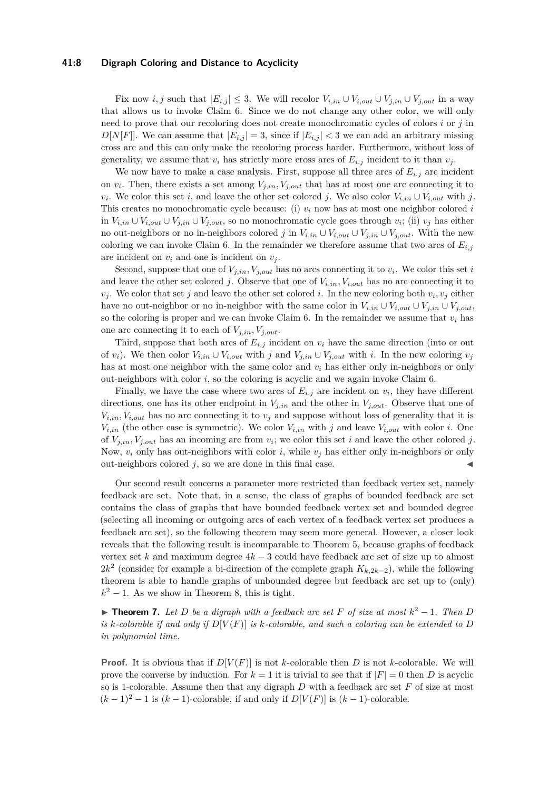## **41:8 Digraph Coloring and Distance to Acyclicity**

Fix now *i, j* such that  $|E_{i,j}| \leq 3$ . We will recolor  $V_{i,in} \cup V_{i,out} \cup V_{j,out}$  in a way that allows us to invoke Claim [6.](#page-6-0) Since we do not change any other color, we will only need to prove that our recoloring does not create monochromatic cycles of colors *i* or *j* in  $D[N[F]]$ . We can assume that  $|E_{i,j}| = 3$ , since if  $|E_{i,j}| < 3$  we can add an arbitrary missing cross arc and this can only make the recoloring process harder. Furthermore, without loss of generality, we assume that  $v_i$  has strictly more cross arcs of  $E_{i,j}$  incident to it than  $v_j$ .

We now have to make a case analysis. First, suppose all three arcs of  $E_{i,j}$  are incident on  $v_i$ . Then, there exists a set among  $V_{j,in}$ ,  $V_{j,out}$  that has at most one arc connecting it to  $v_i$ . We color this set *i*, and leave the other set colored *j*. We also color  $V_{i,in} \cup V_{i,out}$  with *j*. This creates no monochromatic cycle because: (i) *v<sup>i</sup>* now has at most one neighbor colored *i* in *Vi,in* ∪ *Vi,out* ∪ *Vj,in* ∪ *Vj,out*, so no monochromatic cycle goes through *v<sup>i</sup>* ; (ii) *v<sup>j</sup>* has either no out-neighbors or no in-neighbors colored *j* in  $V_{i,in} \cup V_{i,out} \cup V_{j,out}$ . With the new coloring we can invoke Claim [6.](#page-6-0) In the remainder we therefore assume that two arcs of  $E_{i,j}$ are incident on  $v_i$  and one is incident on  $v_j$ .

Second, suppose that one of  $V_{j,in}$ ,  $V_{j,out}$  has no arcs connecting it to  $v_i$ . We color this set *i* and leave the other set colored *j*. Observe that one of  $V_{i,in}$ ,  $V_{i,out}$  has no arc connecting it to  $v_j$ . We color that set *j* and leave the other set colored *i*. In the new coloring both  $v_i$ ,  $v_j$  either have no out-neighbor or no in-neighbor with the same color in  $V_{i,in} \cup V_{i,out} \cup V_{j,in} \cup V_{j,out}$ , so the coloring is proper and we can invoke Claim [6.](#page-6-0) In the remainder we assume that  $v_i$  has one arc connecting it to each of  $V_{j,in}$ ,  $V_{j,out}$ .

Third, suppose that both arcs of  $E_{i,j}$  incident on  $v_i$  have the same direction (into or out of  $v_i$ ). We then color  $V_{i,in} \cup V_{i,out}$  with *j* and  $V_{j,in} \cup V_{j,out}$  with *i*. In the new coloring  $v_j$ has at most one neighbor with the same color and  $v_i$  has either only in-neighbors or only out-neighbors with color  $i$ , so the coloring is acyclic and we again invoke Claim  $6$ .

Finally, we have the case where two arcs of  $E_{i,j}$  are incident on  $v_i$ , they have different directions, one has its other endpoint in  $V_{j,in}$  and the other in  $V_{j,out}$ . Observe that one of  $V_{i,in}$ ,  $V_{i,out}$  has no arc connecting it to  $v_j$  and suppose without loss of generality that it is  $V_{i,in}$  (the other case is symmetric). We color  $V_{i,in}$  with *j* and leave  $V_{i,out}$  with color *i*. One of  $V_{j,in}$ ,  $V_{j,out}$  has an incoming arc from  $v_i$ ; we color this set *i* and leave the other colored *j*. Now,  $v_i$  only has out-neighbors with color *i*, while  $v_j$  has either only in-neighbors or only out-neighbors colored  $j$ , so we are done in this final case.

Our second result concerns a parameter more restricted than feedback vertex set, namely feedback arc set. Note that, in a sense, the class of graphs of bounded feedback arc set contains the class of graphs that have bounded feedback vertex set and bounded degree (selecting all incoming or outgoing arcs of each vertex of a feedback vertex set produces a feedback arc set), so the following theorem may seem more general. However, a closer look reveals that the following result is incomparable to Theorem [5,](#page-6-1) because graphs of feedback vertex set *k* and maximum degree 4*k* − 3 could have feedback arc set of size up to almost  $2k^2$  (consider for example a bi-direction of the complete graph  $K_{k,2k-2}$ ), while the following theorem is able to handle graphs of unbounded degree but feedback arc set up to (only)  $k^2 - 1$ . As we show in Theorem [8,](#page-8-0) this is tight.

▶ **Theorem 7.** Let D be a digraph with a feedback arc set F of size at most  $k^2 - 1$ . Then D *is k*-colorable if and only if  $D[V(F)]$  *is k*-colorable, and such a coloring can be extended to  $D$ *in polynomial time.*

**Proof.** It is obvious that if  $D[V(F)]$  is not *k*-colorable then *D* is not *k*-colorable. We will prove the converse by induction. For  $k = 1$  it is trivial to see that if  $|F| = 0$  then *D* is acyclic so is 1-colorable. Assume then that any digraph *D* with a feedback arc set *F* of size at most  $(k-1)^2-1$  is  $(k-1)$ -colorable, if and only if  $D[V(F)]$  is  $(k-1)$ -colorable.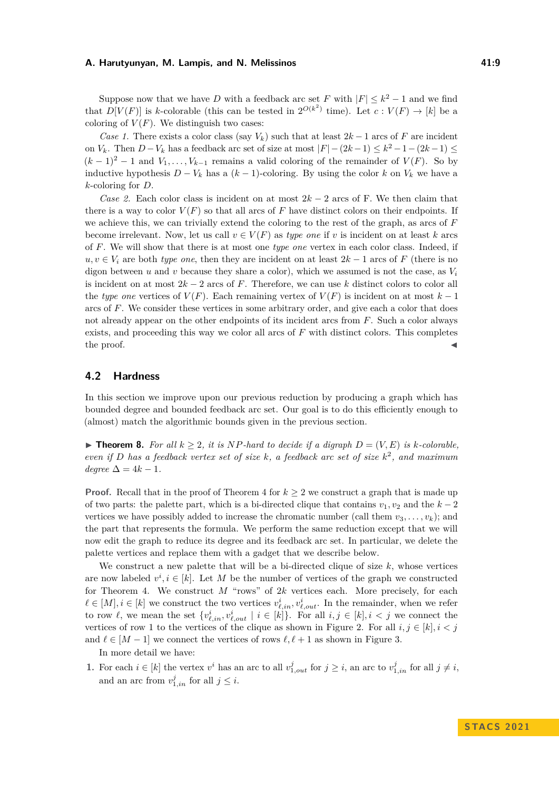Suppose now that we have *D* with a feedback arc set *F* with  $|F| \leq k^2 - 1$  and we find that  $D[V(F)]$  is *k*-colorable (this can be tested in  $2^{O(k^2)}$  time). Let  $c: V(F) \to [k]$  be a coloring of  $V(F)$ . We distinguish two cases:

*Case 1.* There exists a color class (say  $V_k$ ) such that at least  $2k-1$  arcs of F are incident on *V*<sup>*k*</sup>. Then *D* − *V*<sup>*k*</sup> has a feedback arc set of size at most  $|F| - (2k - 1) \le k^2 - 1 - (2k - 1) \le$  $(k-1)^2-1$  and  $V_1,\ldots,V_{k-1}$  remains a valid coloring of the remainder of  $V(F)$ . So by inductive hypothesis *D* − *V<sup>k</sup>* has a (*k* − 1)-coloring. By using the color *k* on *V<sup>k</sup>* we have a *k*-coloring for *D*.

*Case 2.* Each color class is incident on at most 2*k* − 2 arcs of F. We then claim that there is a way to color  $V(F)$  so that all arcs of F have distinct colors on their endpoints. If we achieve this, we can trivially extend the coloring to the rest of the graph, as arcs of *F* become irrelevant. Now, let us call  $v \in V(F)$  as *type one* if *v* is incident on at least *k* arcs of *F*. We will show that there is at most one *type one* vertex in each color class. Indeed, if  $u, v \in V_i$  are both *type one*, then they are incident on at least  $2k - 1$  arcs of *F* (there is no digon between *u* and *v* because they share a color), which we assumed is not the case, as  $V_i$ is incident on at most 2*k* − 2 arcs of *F*. Therefore, we can use *k* distinct colors to color all the *type one* vertices of  $V(F)$ . Each remaining vertex of  $V(F)$  is incident on at most  $k-1$ arcs of *F*. We consider these vertices in some arbitrary order, and give each a color that does not already appear on the other endpoints of its incident arcs from *F*. Such a color always exists, and proceeding this way we color all arcs of F with distinct colors. This completes  $\bullet$  the proof.

## **4.2 Hardness**

In this section we improve upon our previous reduction by producing a graph which has bounded degree and bounded feedback arc set. Our goal is to do this efficiently enough to (almost) match the algorithmic bounds given in the previous section.

<span id="page-8-0"></span>▶ **Theorem 8.** *For all*  $k \geq 2$ , *it is*  $NP$ *-hard to decide if a digraph*  $D = (V, E)$  *is*  $k$ *-colorable, even if D has a feedback vertex set of size k, a feedback arc set of size k* 2 *, and maximum*  $deare \Delta = 4k - 1$ .

**Proof.** Recall that in the proof of Theorem [4](#page-4-1) for  $k \geq 2$  we construct a graph that is made up of two parts: the palette part, which is a bi-directed clique that contains  $v_1, v_2$  and the  $k-2$ vertices we have possibly added to increase the chromatic number (call them  $v_3, \ldots, v_k$ ); and the part that represents the formula. We perform the same reduction except that we will now edit the graph to reduce its degree and its feedback arc set. In particular, we delete the palette vertices and replace them with a gadget that we describe below.

We construct a new palette that will be a bi-directed clique of size *k*, whose vertices are now labeled  $v^i, i \in [k]$ . Let *M* be the number of vertices of the graph we constructed for Theorem [4.](#page-4-1) We construct  $M$  "rows" of  $2k$  vertices each. More precisely, for each  $\ell \in [M], i \in [k]$  we construct the two vertices  $v_{\ell,in}^i, v_{\ell,out}^i$ . In the remainder, when we refer to row  $\ell$ , we mean the set  $\{v_{\ell,in}^i, v_{\ell,out}^i \mid i \in [k]\}$ . For all  $i, j \in [k], i < j$  we connect the vertices of row 1 to the vertices of the clique as shown in Figure [2.](#page-9-0) For all  $i, j \in [k], i < j$ and  $\ell \in [M-1]$  we connect the vertices of rows  $\ell, \ell+1$  as shown in Figure [3.](#page-9-1)

In more detail we have:

1. For each  $i \in [k]$  the vertex  $v^i$  has an arc to all  $v^j_{1,out}$  for  $j \geq i$ , an arc to  $v^j_{1,in}$  for all  $j \neq i$ , and an arc from  $v_{1,in}^j$  for all  $j \leq i$ .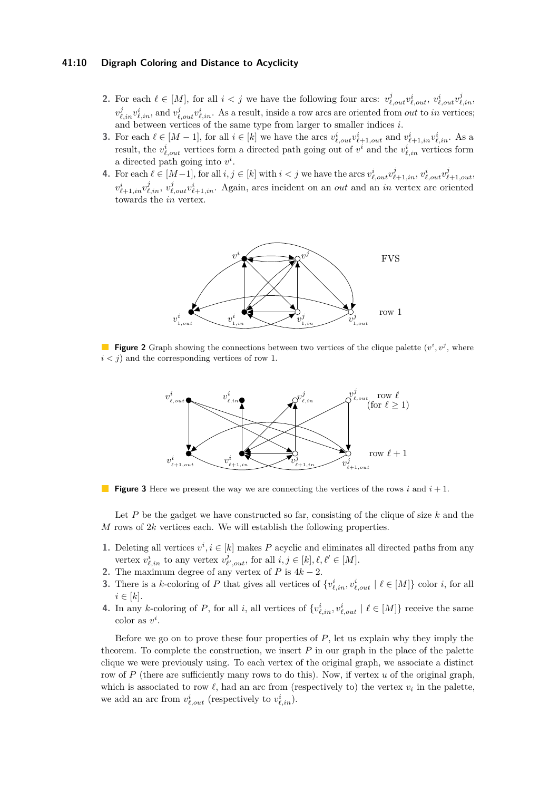## **41:10 Digraph Coloring and Distance to Acyclicity**

- **2.** For each  $\ell \in [M]$ , for all  $i < j$  we have the following four arcs:  $v_{\ell,out}^j v_{\ell,out}^i, v_{\ell,out}^i v_{\ell,in}^j$  $v^j_{\ell,in}v^i_{\ell,in}$ , and  $v^j_{\ell,out}v^i_{\ell,in}$ . As a result, inside a row arcs are oriented from *out* to *in* vertices; and between vertices of the same type from larger to smaller indices *i*.
- **3.** For each  $\ell \in [M-1]$ , for all  $i \in [k]$  we have the arcs  $v_{\ell,out}^i v_{\ell+1,out}^i$  and  $v_{\ell+1,in}^i v_{\ell,in}^i$ . As a result, the  $v_{\ell,out}^i$  vertices form a directed path going out of  $v^i$  and the  $v_{\ell,in}^i$  vertices form a directed path going into  $v^i$ .
- <span id="page-9-0"></span>4. For each  $\ell \in [M-1]$ , for all  $i, j \in [k]$  with  $i < j$  we have the arcs  $v_{\ell,out}^i v_{\ell+1,in}^j$ ,  $v_{\ell,out}^i v_{\ell+1,out}^j$ ,  $v_{\ell+1,in}^i v_{\ell,in}^j, v_{\ell,out}^j v_{\ell+1,in}^i$ . Again, arcs incident on an *out* and an *in* vertex are oriented towards the *in* vertex.



<span id="page-9-1"></span>**Figure 2** Graph showing the connections between two vertices of the clique palette  $(v^i, v^j,$  where  $i < j$  and the corresponding vertices of row 1.



**Figure 3** Here we present the way we are connecting the vertices of the rows *i* and *i* + 1.

Let P be the gadget we have constructed so far, consisting of the clique of size k and the *M* rows of 2*k* vertices each. We will establish the following properties.

- **1.** Deleting all vertices  $v^i, i \in [k]$  makes *P* acyclic and eliminates all directed paths from any vertex  $v_{\ell,in}^i$  to any vertex  $v_{\ell',out}^j$ , for all  $i, j \in [k], \ell, \ell' \in [M]$ .
- **2.** The maximum degree of any vertex of  $P$  is  $4k 2$ .
- **3.** There is a *k*-coloring of *P* that gives all vertices of  $\{v_{\ell,in}^i, v_{\ell,out}^i | \ell \in [M]\}$  color *i*, for all  $i \in [k]$ .
- **4.** In any *k*-coloring of *P*, for all *i*, all vertices of  $\{v_{\ell,in}^i, v_{\ell,out}^i \mid \ell \in [M]\}$  receive the same  $color as v<sup>i</sup>$ .

Before we go on to prove these four properties of *P*, let us explain why they imply the theorem. To complete the construction, we insert *P* in our graph in the place of the palette clique we were previously using. To each vertex of the original graph, we associate a distinct row of *P* (there are sufficiently many rows to do this). Now, if vertex *u* of the original graph, which is associated to row  $\ell$ , had an arc from (respectively to) the vertex  $v_i$  in the palette, we add an arc from  $v_{\ell,out}^i$  (respectively to  $v_{\ell,in}^i$ ).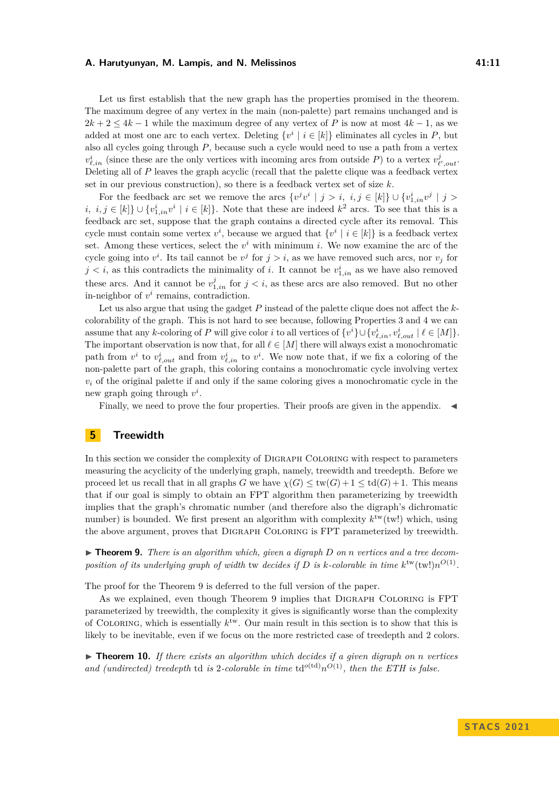Let us first establish that the new graph has the properties promised in the theorem. The maximum degree of any vertex in the main (non-palette) part remains unchanged and is  $2k + 2 \leq 4k - 1$  while the maximum degree of any vertex of P is now at most  $4k - 1$ , as we added at most one arc to each vertex. Deleting  $\{v^i \mid i \in [k]\}$  eliminates all cycles in *P*, but also all cycles going through *P*, because such a cycle would need to use a path from a vertex  $v_{\ell,in}^i$  (since these are the only vertices with incoming arcs from outside *P*) to a vertex  $v_{\ell',out}^j$ . Deleting all of *P* leaves the graph acyclic (recall that the palette clique was a feedback vertex set in our previous construction), so there is a feedback vertex set of size *k*.

For the feedback arc set we remove the arcs  $\{v^jv^i \mid j > i, i, j \in [k]\} \cup \{v^i_{1,in}v^j \mid j > i\}$ *i, i, j* ∈ [*k*]} ∪ { $v_{1,in}^i v^i \mid i \in [k]$ }. Note that these are indeed  $k^2$  arcs. To see that this is a feedback arc set, suppose that the graph contains a directed cycle after its removal. This cycle must contain some vertex  $v^i$ , because we argued that  $\{v^i \mid i \in [k]\}$  is a feedback vertex set. Among these vertices, select the  $v^i$  with minimum *i*. We now examine the arc of the cycle going into  $v^i$ . Its tail cannot be  $v^j$  for  $j > i$ , as we have removed such arcs, nor  $v_j$  for  $j < i$ , as this contradicts the minimality of *i*. It cannot be  $v_{1,in}^i$  as we have also removed these arcs. And it cannot be  $v_{1,in}^j$  for  $j < i$ , as these arcs are also removed. But no other in-neighbor of  $v^i$  remains, contradiction.

Let us also argue that using the gadget *P* instead of the palette clique does not affect the *k*colorability of the graph. This is not hard to see because, following Properties 3 and 4 we can assume that any *k*-coloring of *P* will give color *i* to all vertices of  $\{v^i\} \cup \{v^i_{\ell,in}, v^i_{\ell,out} \mid \ell \in [M]\}.$ The important observation is now that, for all  $\ell \in [M]$  there will always exist a monochromatic path from  $v^i$  to  $v^i_{\ell,out}$  and from  $v^i_{\ell,in}$  to  $v^i$ . We now note that, if we fix a coloring of the non-palette part of the graph, this coloring contains a monochromatic cycle involving vertex  $v_i$  of the original palette if and only if the same coloring gives a monochromatic cycle in the new graph going through *v i* .

Finally, we need to prove the four properties. Their proofs are given in the appendix. ◀

## **5 Treewidth**

In this section we consider the complexity of Digraph Coloring with respect to parameters measuring the acyclicity of the underlying graph, namely, treewidth and treedepth. Before we proceed let us recall that in all graphs *G* we have  $\chi(G) \leq \text{tw}(G) + 1 \leq \text{td}(G) + 1$ . This means that if our goal is simply to obtain an FPT algorithm then parameterizing by treewidth implies that the graph's chromatic number (and therefore also the digraph's dichromatic number) is bounded. We first present an algorithm with complexity  $k^{\text{tw}}(\text{tw}!)$  which, using the above argument, proves that Digraph Coloring is FPT parameterized by treewidth.

<span id="page-10-0"></span> $\triangleright$  **Theorem 9.** *There is an algorithm which, given a digraph D on n vertices and a tree decomposition of its underlying graph of width* tw *decides if*  $D$  *is k-colorable in time*  $k^{\text{tw}}(\text{tw}!)n^{O(1)}$ .

The proof for the Theorem [9](#page-10-0) is deferred to the full version of the paper.

As we explained, even though Theorem [9](#page-10-0) implies that Digraph Coloring is FPT parameterized by treewidth, the complexity it gives is significantly worse than the complexity of COLORING, which is essentially  $k^{\text{tw}}$ . Our main result in this section is to show that this is likely to be inevitable, even if we focus on the more restricted case of treedepth and 2 colors.

 $\triangleright$  **Theorem 10.** If there exists an algorithm which decides if a given digraph on *n* vertices and (undirected) treedepth td is 2-colorable in time  $\text{td}^{\text{o}(\text{td})} n^{\text{O}(1)}$ , then the ETH is false.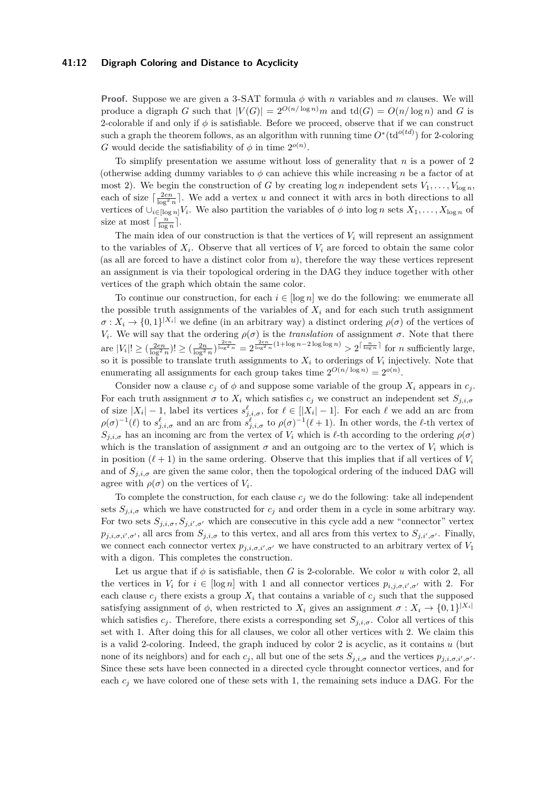## **41:12 Digraph Coloring and Distance to Acyclicity**

**Proof.** Suppose we are given a 3-SAT formula *ϕ* with *n* variables and *m* clauses. We will produce a digraph *G* such that  $|V(G)| = 2^{O(n/\log n)}m$  and  $\text{td}(G) = O(n/\log n)$  and *G* is 2-colorable if and only if *ϕ* is satisfiable. Before we proceed, observe that if we can construct such a graph the theorem follows, as an algorithm with running time  $O^*(\text{td}^{o(td)})$  for 2-coloring *G* would decide the satisfiability of  $\phi$  in time  $2^{o(n)}$ .

To simplify presentation we assume without loss of generality that *n* is a power of 2 (otherwise adding dummy variables to  $\phi$  can achieve this while increasing *n* be a factor of at most 2). We begin the construction of *G* by creating  $\log n$  independent sets  $V_1, \ldots, V_{\log n}$ , each of size  $\lceil \frac{2en}{\log^2 n} \rceil$ . We add a vertex *u* and connect it with arcs in both directions to all vertices of  $\cup_{i \in [\log n]} V_i$ . We also partition the variables of  $\phi$  into  $\log n$  sets  $X_1, \ldots, X_{\log n}$  of size at most  $\lceil \frac{n}{\log n} \rceil$ .

The main idea of our construction is that the vertices of  $V_i$  will represent an assignment to the variables of  $X_i$ . Observe that all vertices of  $V_i$  are forced to obtain the same color (as all are forced to have a distinct color from *u*), therefore the way these vertices represent an assignment is via their topological ordering in the DAG they induce together with other vertices of the graph which obtain the same color.

To continue our construction, for each  $i \in [\log n]$  we do the following: we enumerate all the possible truth assignments of the variables of  $X_i$  and for each such truth assignment  $\sigma: X_i \to \{0,1\}^{|X_i|}$  we define (in an arbitrary way) a distinct ordering  $\rho(\sigma)$  of the vertices of *V*<sub>*i*</sub>. We will say that the ordering  $\rho(\sigma)$  is the *translation* of assignment  $\sigma$ . Note that there  $\text{are } |V_i|! \geq (\frac{2en}{\log^2 n})! \geq (\frac{2n}{\log^2 n})^{\frac{2en}{\log^2 n}} = 2^{\frac{2en}{\log^2 n}(1 + \log n - 2\log\log n)} > 2^{\lceil \frac{n}{\log n} \rceil}$  for *n* sufficiently large, so it is possible to translate truth assignments to  $X_i$  to orderings of  $V_i$  injectively. Note that enumerating all assignments for each group takes time  $2^{O(n/\log n)} = 2^{o(n)}$ .

Consider now a clause  $c_i$  of  $\phi$  and suppose some variable of the group  $X_i$  appears in  $c_i$ . For each truth assignment  $\sigma$  to  $X_i$  which satisfies  $c_j$  we construct an independent set  $S_{j,i,\sigma}$ of size  $|X_i| - 1$ , label its vertices  $s^{\ell}_{j,i,\sigma}$ , for  $\ell \in [|X_i| - 1]$ . For each  $\ell$  we add an arc from  $\rho(\sigma)^{-1}(\ell)$  to  $s^{\ell}_{j,i,\sigma}$  and an arc from  $s^{\ell}_{j,i,\sigma}$  to  $\rho(\sigma)^{-1}(\ell+1)$ . In other words, the  $\ell$ -th vertex of  $S_{j,i,\sigma}$  has an incoming arc from the vertex of  $V_i$  which is  $\ell$ -th according to the ordering  $\rho(\sigma)$ which is the translation of assignment  $\sigma$  and an outgoing arc to the vertex of  $V_i$  which is in position  $(\ell + 1)$  in the same ordering. Observe that this implies that if all vertices of  $V_i$ and of  $S_{i,i,\sigma}$  are given the same color, then the topological ordering of the induced DAG will agree with  $\rho(\sigma)$  on the vertices of  $V_i$ .

To complete the construction, for each clause  $c_j$  we do the following: take all independent sets  $S_{j,i,\sigma}$  which we have constructed for  $c_j$  and order them in a cycle in some arbitrary way. For two sets  $S_{j,i,\sigma}$ ,  $S_{j,i',\sigma'}$  which are consecutive in this cycle add a new "connector" vertex  $p_{j,i,\sigma,i',\sigma'}$ , all arcs from  $S_{j,i,\sigma}$  to this vertex, and all arcs from this vertex to  $S_{j,i',\sigma'}$ . Finally, we connect each connector vertex  $p_{j,i,\sigma,i',\sigma'}$  we have constructed to an arbitrary vertex of  $V_1$ with a digon. This completes the construction.

Let us argue that if  $\phi$  is satisfiable, then *G* is 2-colorable. We color *u* with color 2, all the vertices in  $V_i$  for  $i \in [\log n]$  with 1 and all connector vertices  $p_{i,j,\sigma,i',\sigma'}$  with 2. For each clause  $c_j$  there exists a group  $X_i$  that contains a variable of  $c_j$  such that the supposed satisfying assignment of  $\phi$ , when restricted to  $X_i$  gives an assignment  $\sigma: X_i \to \{0,1\}^{|X_i|}$ which satisfies  $c_j$ . Therefore, there exists a corresponding set  $S_{j,i,\sigma}$ . Color all vertices of this set with 1. After doing this for all clauses, we color all other vertices with 2. We claim this is a valid 2-coloring. Indeed, the graph induced by color 2 is acyclic, as it contains *u* (but none of its neighbors) and for each  $c_j$ , all but one of the sets  $S_{j,i,\sigma}$  and the vertices  $p_{j,i,\sigma,i',\sigma'}$ . Since these sets have been connected in a directed cycle throught connector vertices, and for each  $c_j$  we have colored one of these sets with 1, the remaining sets induce a DAG. For the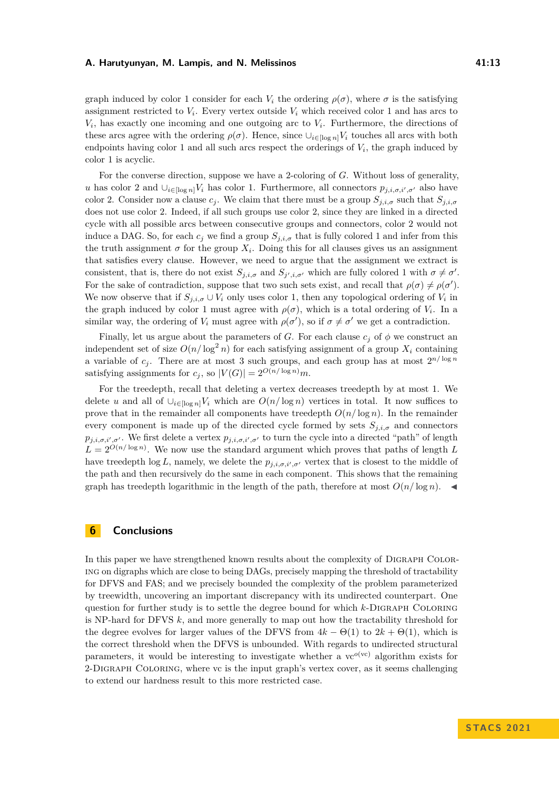graph induced by color 1 consider for each  $V_i$  the ordering  $\rho(\sigma)$ , where  $\sigma$  is the satisfying assignment restricted to  $V_i$ . Every vertex outside  $V_i$  which received color 1 and has arcs to  $V_i$ , has exactly one incoming and one outgoing arc to  $V_i$ . Furthermore, the directions of these arcs agree with the ordering  $\rho(\sigma)$ . Hence, since  $\bigcup_{i\in[\log n]}V_i$  touches all arcs with both endpoints having color 1 and all such arcs respect the orderings of  $V_i$ , the graph induced by color 1 is acyclic.

For the converse direction, suppose we have a 2-coloring of *G*. Without loss of generality, *u* has color 2 and  $\bigcup_{i\in [\log n]} V_i$  has color 1. Furthermore, all connectors  $p_{j,i,\sigma,i',\sigma'}$  also have color 2. Consider now a clause  $c_j$ . We claim that there must be a group  $S_{j,i,\sigma}$  such that  $S_{j,i,\sigma}$ does not use color 2. Indeed, if all such groups use color 2, since they are linked in a directed cycle with all possible arcs between consecutive groups and connectors, color 2 would not induce a DAG. So, for each  $c_j$  we find a group  $S_{j,i,\sigma}$  that is fully colored 1 and infer from this the truth assignment  $\sigma$  for the group  $X_i$ . Doing this for all clauses gives us an assignment that satisfies every clause. However, we need to argue that the assignment we extract is consistent, that is, there do not exist  $S_{j,i,\sigma}$  and  $S_{j',i,\sigma'}$  which are fully colored 1 with  $\sigma \neq \sigma'$ . For the sake of contradiction, suppose that two such sets exist, and recall that  $\rho(\sigma) \neq \rho(\sigma')$ . We now observe that if  $S_{j,i,\sigma} \cup V_i$  only uses color 1, then any topological ordering of  $V_i$  in the graph induced by color 1 must agree with  $\rho(\sigma)$ , which is a total ordering of  $V_i$ . In a similar way, the ordering of  $V_i$  must agree with  $\rho(\sigma')$ , so if  $\sigma \neq \sigma'$  we get a contradiction.

Finally, let us argue about the parameters of *G*. For each clause  $c_j$  of  $\phi$  we construct an independent set of size  $O(n/\log^2 n)$  for each satisfying assignment of a group  $X_i$  containing a variable of  $c_j$ . There are at most 3 such groups, and each group has at most  $2^{n/\log n}$ satisfying assignments for  $c_j$ , so  $|V(G)| = 2^{O(n/\log n)}m$ .

For the treedepth, recall that deleting a vertex decreases treedepth by at most 1. We delete *u* and all of  $\bigcup_{i \in [\log n]} V_i$  which are  $O(n/\log n)$  vertices in total. It now suffices to prove that in the remainder all components have treedepth  $O(n/\log n)$ . In the remainder every component is made up of the directed cycle formed by sets  $S_{j,i,\sigma}$  and connectors  $p_{j,i,\sigma,i',\sigma'}$ . We first delete a vertex  $p_{j,i,\sigma,i',\sigma'}$  to turn the cycle into a directed "path" of length  $L = 2^{O(n/\log n)}$ . We now use the standard argument which proves that paths of length *L* have treedepth  $\log L$ , namely, we delete the  $p_{j,i,\sigma,i',\sigma'}$  vertex that is closest to the middle of the path and then recursively do the same in each component. This shows that the remaining graph has treedepth logarithmic in the length of the path, therefore at most  $O(n/\log n)$ .

# **6 Conclusions**

In this paper we have strengthened known results about the complexity of DIGRAPH COLORing on digraphs which are close to being DAGs, precisely mapping the threshold of tractability for DFVS and FAS; and we precisely bounded the complexity of the problem parameterized by treewidth, uncovering an important discrepancy with its undirected counterpart. One question for further study is to settle the degree bound for which *k*-Digraph Coloring is NP-hard for DFVS *k*, and more generally to map out how the tractability threshold for the degree evolves for larger values of the DFVS from  $4k - \Theta(1)$  to  $2k + \Theta(1)$ , which is the correct threshold when the DFVS is unbounded. With regards to undirected structural parameters, it would be interesting to investigate whether a  $ve^{o(vc)}$  algorithm exists for 2-Digraph Coloring, where vc is the input graph's vertex cover, as it seems challenging to extend our hardness result to this more restricted case.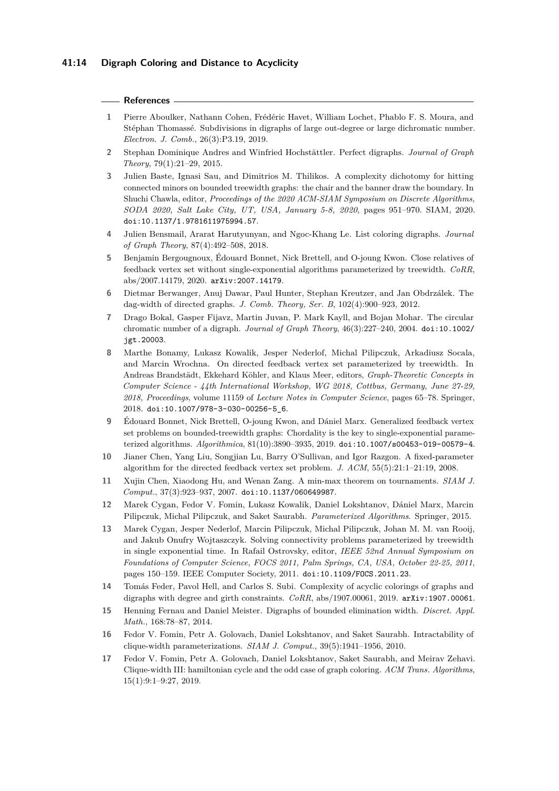## **References**

- <span id="page-13-0"></span>**1** Pierre Aboulker, Nathann Cohen, Frédéric Havet, William Lochet, Phablo F. S. Moura, and Stéphan Thomassé. Subdivisions in digraphs of large out-degree or large dichromatic number. *Electron. J. Comb.*, 26(3):P3.19, 2019.
- <span id="page-13-1"></span>**2** Stephan Dominique Andres and Winfried Hochstättler. Perfect digraphs. *Journal of Graph Theory*, 79(1):21–29, 2015.
- <span id="page-13-13"></span>**3** Julien Baste, Ignasi Sau, and Dimitrios M. Thilikos. A complexity dichotomy for hitting connected minors on bounded treewidth graphs: the chair and the banner draw the boundary. In Shuchi Chawla, editor, *Proceedings of the 2020 ACM-SIAM Symposium on Discrete Algorithms, SODA 2020, Salt Lake City, UT, USA, January 5-8, 2020*, pages 951–970. SIAM, 2020. [doi:10.1137/1.9781611975994.57](https://doi.org/10.1137/1.9781611975994.57).
- <span id="page-13-2"></span>**4** Julien Bensmail, Ararat Harutyunyan, and Ngoc-Khang Le. List coloring digraphs. *Journal of Graph Theory*, 87(4):492–508, 2018.
- <span id="page-13-14"></span>**5** Benjamin Bergougnoux, Édouard Bonnet, Nick Brettell, and O-joung Kwon. Close relatives of feedback vertex set without single-exponential algorithms parameterized by treewidth. *CoRR*, abs/2007.14179, 2020. [arXiv:2007.14179](http://arxiv.org/abs/2007.14179).
- <span id="page-13-9"></span>**6** Dietmar Berwanger, Anuj Dawar, Paul Hunter, Stephan Kreutzer, and Jan Obdrzálek. The dag-width of directed graphs. *J. Comb. Theory, Ser. B*, 102(4):900–923, 2012.
- <span id="page-13-3"></span>**7** Drago Bokal, Gasper Fijavz, Martin Juvan, P. Mark Kayll, and Bojan Mohar. The circular chromatic number of a digraph. *Journal of Graph Theory*, 46(3):227–240, 2004. [doi:10.1002/](https://doi.org/10.1002/jgt.20003) [jgt.20003](https://doi.org/10.1002/jgt.20003).
- <span id="page-13-12"></span>**8** Marthe Bonamy, Lukasz Kowalik, Jesper Nederlof, Michal Pilipczuk, Arkadiusz Socala, and Marcin Wrochna. On directed feedback vertex set parameterized by treewidth. In Andreas Brandstädt, Ekkehard Köhler, and Klaus Meer, editors, *Graph-Theoretic Concepts in Computer Science - 44th International Workshop, WG 2018, Cottbus, Germany, June 27-29, 2018, Proceedings*, volume 11159 of *Lecture Notes in Computer Science*, pages 65–78. Springer, 2018. [doi:10.1007/978-3-030-00256-5\\_6](https://doi.org/10.1007/978-3-030-00256-5_6).
- <span id="page-13-15"></span>**9** Édouard Bonnet, Nick Brettell, O-joung Kwon, and Dániel Marx. Generalized feedback vertex set problems on bounded-treewidth graphs: Chordality is the key to single-exponential parameterized algorithms. *Algorithmica*, 81(10):3890–3935, 2019. [doi:10.1007/s00453-019-00579-4](https://doi.org/10.1007/s00453-019-00579-4).
- <span id="page-13-5"></span>**10** Jianer Chen, Yang Liu, Songjian Lu, Barry O'Sullivan, and Igor Razgon. A fixed-parameter algorithm for the directed feedback vertex set problem. *J. ACM*, 55(5):21:1–21:19, 2008.
- <span id="page-13-4"></span>**11** Xujin Chen, Xiaodong Hu, and Wenan Zang. A min-max theorem on tournaments. *SIAM J. Comput.*, 37(3):923–937, 2007. [doi:10.1137/060649987](https://doi.org/10.1137/060649987).
- <span id="page-13-6"></span>**12** Marek Cygan, Fedor V. Fomin, Lukasz Kowalik, Daniel Lokshtanov, Dániel Marx, Marcin Pilipczuk, Michal Pilipczuk, and Saket Saurabh. *Parameterized Algorithms*. Springer, 2015.
- <span id="page-13-11"></span>**13** Marek Cygan, Jesper Nederlof, Marcin Pilipczuk, Michal Pilipczuk, Johan M. M. van Rooij, and Jakub Onufry Wojtaszczyk. Solving connectivity problems parameterized by treewidth in single exponential time. In Rafail Ostrovsky, editor, *IEEE 52nd Annual Symposium on Foundations of Computer Science, FOCS 2011, Palm Springs, CA, USA, October 22-25, 2011*, pages 150–159. IEEE Computer Society, 2011. [doi:10.1109/FOCS.2011.23](https://doi.org/10.1109/FOCS.2011.23).
- <span id="page-13-16"></span>**14** Tomás Feder, Pavol Hell, and Carlos S. Subi. Complexity of acyclic colorings of graphs and digraphs with degree and girth constraints. *CoRR*, abs/1907.00061, 2019. [arXiv:1907.00061](http://arxiv.org/abs/1907.00061).
- <span id="page-13-10"></span>**15** Henning Fernau and Daniel Meister. Digraphs of bounded elimination width. *Discret. Appl. Math.*, 168:78–87, 2014.
- <span id="page-13-7"></span>**16** Fedor V. Fomin, Petr A. Golovach, Daniel Lokshtanov, and Saket Saurabh. Intractability of clique-width parameterizations. *SIAM J. Comput.*, 39(5):1941–1956, 2010.
- <span id="page-13-8"></span>**17** Fedor V. Fomin, Petr A. Golovach, Daniel Lokshtanov, Saket Saurabh, and Meirav Zehavi. Clique-width III: hamiltonian cycle and the odd case of graph coloring. *ACM Trans. Algorithms*, 15(1):9:1–9:27, 2019.